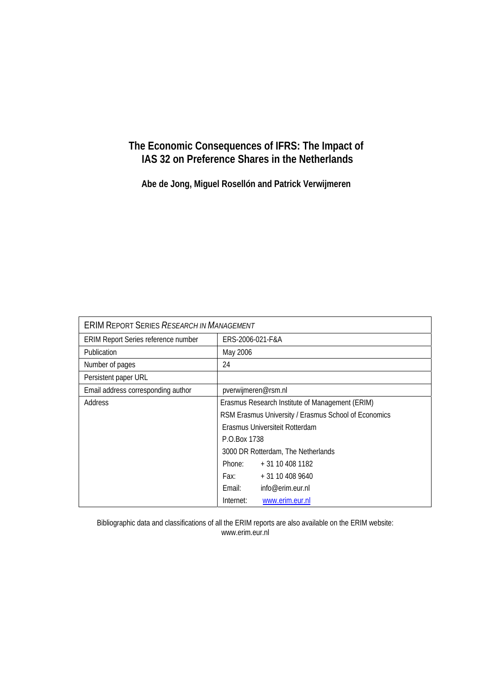## **The Economic Consequences of IFRS: The Impact of IAS 32 on Preference Shares in the Netherlands**

**Abe de Jong, Miguel Rosellón and Patrick Verwijmeren** 

| <b>ERIM REPORT SERIES RESEARCH IN MANAGEMENT</b> |                                                      |                  |  |  |  |
|--------------------------------------------------|------------------------------------------------------|------------------|--|--|--|
| ERIM Report Series reference number              | ERS-2006-021-F&A                                     |                  |  |  |  |
| Publication                                      | May 2006                                             |                  |  |  |  |
| Number of pages                                  | 24                                                   |                  |  |  |  |
| Persistent paper URL                             |                                                      |                  |  |  |  |
| Email address corresponding author               | pverwijmeren@rsm.nl                                  |                  |  |  |  |
| Address                                          | Erasmus Research Institute of Management (ERIM)      |                  |  |  |  |
|                                                  | RSM Erasmus University / Erasmus School of Economics |                  |  |  |  |
|                                                  | Erasmus Universiteit Rotterdam                       |                  |  |  |  |
|                                                  | P.O.Box 1738                                         |                  |  |  |  |
|                                                  | 3000 DR Rotterdam, The Netherlands                   |                  |  |  |  |
|                                                  | Phone:                                               | + 31 10 408 1182 |  |  |  |
|                                                  | Fax: Fax:                                            | $+31104089640$   |  |  |  |
|                                                  | Email:                                               | info@erim.eur.nl |  |  |  |
|                                                  | Internet:<br>www.erim.eur.nl                         |                  |  |  |  |

Bibliographic data and classifications of all the ERIM reports are also available on the ERIM website: www.erim.eur.nl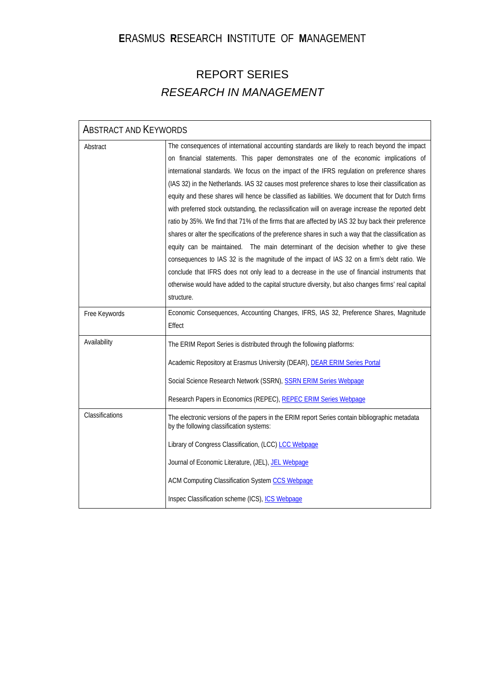# **E**RASMUS **R**ESEARCH **I**NSTITUTE OF **M**ANAGEMENT

# REPORT SERIES *RESEARCH IN MANAGEMENT*

| <b>ABSTRACT AND KEYWORDS</b> |                                                                                                                                                                                                                                                                                                                                                                                                                                                                                                                                                                                                                                                                                                                                                                                                                                                                                                                                                                                                                                                                                                                                                                                                                            |  |  |  |  |
|------------------------------|----------------------------------------------------------------------------------------------------------------------------------------------------------------------------------------------------------------------------------------------------------------------------------------------------------------------------------------------------------------------------------------------------------------------------------------------------------------------------------------------------------------------------------------------------------------------------------------------------------------------------------------------------------------------------------------------------------------------------------------------------------------------------------------------------------------------------------------------------------------------------------------------------------------------------------------------------------------------------------------------------------------------------------------------------------------------------------------------------------------------------------------------------------------------------------------------------------------------------|--|--|--|--|
| Abstract                     | The consequences of international accounting standards are likely to reach beyond the impact<br>on financial statements. This paper demonstrates one of the economic implications of<br>international standards. We focus on the impact of the IFRS regulation on preference shares<br>(IAS 32) in the Netherlands. IAS 32 causes most preference shares to lose their classification as<br>equity and these shares will hence be classified as liabilities. We document that for Dutch firms<br>with preferred stock outstanding, the reclassification will on average increase the reported debt<br>ratio by 35%. We find that 71% of the firms that are affected by IAS 32 buy back their preference<br>shares or alter the specifications of the preference shares in such a way that the classification as<br>equity can be maintained. The main determinant of the decision whether to give these<br>consequences to IAS 32 is the magnitude of the impact of IAS 32 on a firm's debt ratio. We<br>conclude that IFRS does not only lead to a decrease in the use of financial instruments that<br>otherwise would have added to the capital structure diversity, but also changes firms' real capital<br>structure. |  |  |  |  |
| Free Keywords                | Economic Consequences, Accounting Changes, IFRS, IAS 32, Preference Shares, Magnitude<br>Effect                                                                                                                                                                                                                                                                                                                                                                                                                                                                                                                                                                                                                                                                                                                                                                                                                                                                                                                                                                                                                                                                                                                            |  |  |  |  |
| Availability                 | The ERIM Report Series is distributed through the following platforms:<br>Academic Repository at Erasmus University (DEAR), DEAR ERIM Series Portal<br>Social Science Research Network (SSRN), SSRN ERIM Series Webpage<br>Research Papers in Economics (REPEC), REPEC ERIM Series Webpage                                                                                                                                                                                                                                                                                                                                                                                                                                                                                                                                                                                                                                                                                                                                                                                                                                                                                                                                 |  |  |  |  |
| Classifications              | The electronic versions of the papers in the ERIM report Series contain bibliographic metadata<br>by the following classification systems:<br>Library of Congress Classification, (LCC) LCC Webpage<br>Journal of Economic Literature, (JEL), JEL Webpage<br>ACM Computing Classification System CCS Webpage<br>Inspec Classification scheme (ICS), ICS Webpage                                                                                                                                                                                                                                                                                                                                                                                                                                                                                                                                                                                                                                                                                                                                                                                                                                                            |  |  |  |  |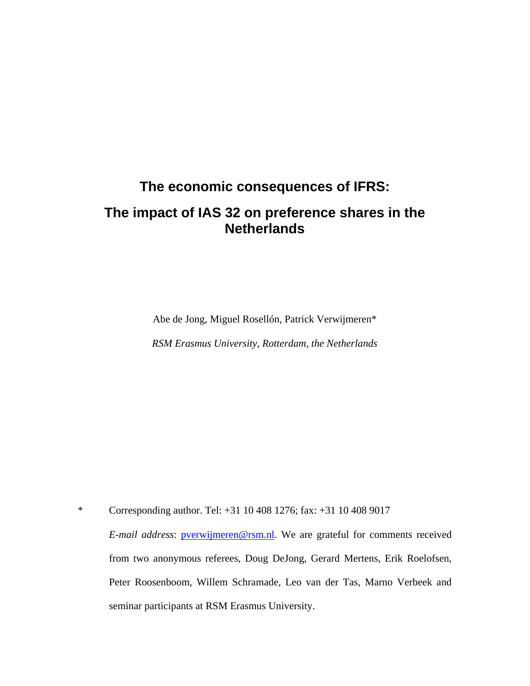# **The economic consequences of IFRS: The impact of IAS 32 on preference shares in the Netherlands**

Abe de Jong, Miguel Rosellón, Patrick Verwijmeren\*

*RSM Erasmus University, Rotterdam, the Netherlands* 

\* Corresponding author. Tel: +31 10 408 1276; fax: +31 10 408 9017 *E-mail address*: [pverwijmeren@rsm.nl](mailto:pverwijmeren@rsm.nl). We are grateful for comments received from two anonymous referees, Doug DeJong, Gerard Mertens, Erik Roelofsen, Peter Roosenboom, Willem Schramade, Leo van der Tas, Marno Verbeek and seminar participants at RSM Erasmus University.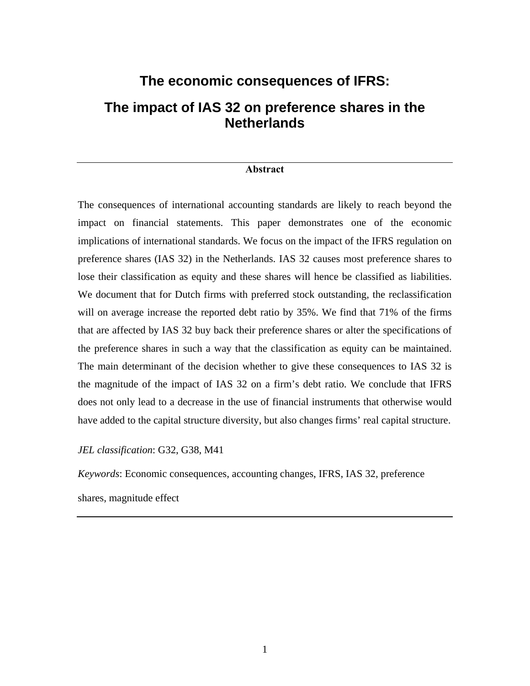# **The economic consequences of IFRS: The impact of IAS 32 on preference shares in the Netherlands**

#### **Abstract**

The consequences of international accounting standards are likely to reach beyond the impact on financial statements. This paper demonstrates one of the economic implications of international standards. We focus on the impact of the IFRS regulation on preference shares (IAS 32) in the Netherlands. IAS 32 causes most preference shares to lose their classification as equity and these shares will hence be classified as liabilities. We document that for Dutch firms with preferred stock outstanding, the reclassification will on average increase the reported debt ratio by 35%. We find that 71% of the firms that are affected by IAS 32 buy back their preference shares or alter the specifications of the preference shares in such a way that the classification as equity can be maintained. The main determinant of the decision whether to give these consequences to IAS 32 is the magnitude of the impact of IAS 32 on a firm's debt ratio. We conclude that IFRS does not only lead to a decrease in the use of financial instruments that otherwise would have added to the capital structure diversity, but also changes firms' real capital structure.

*JEL classification*: G32, G38, M41

*Keywords*: Economic consequences, accounting changes, IFRS, IAS 32, preference shares, magnitude effect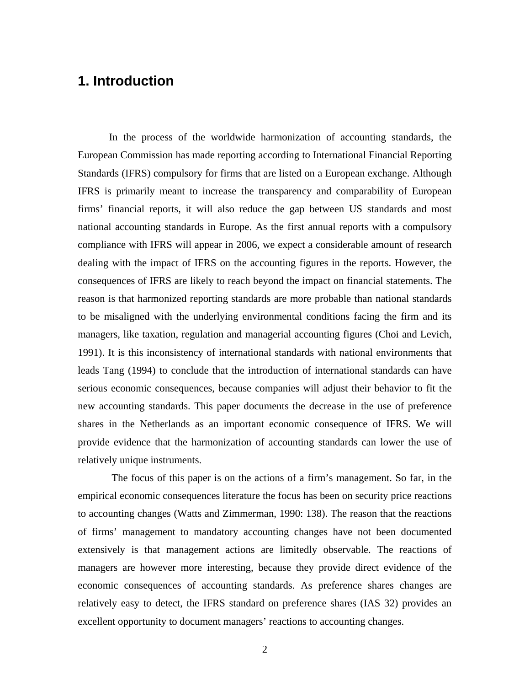# **1. Introduction**

In the process of the worldwide harmonization of accounting standards, the European Commission has made reporting according to International Financial Reporting Standards (IFRS) compulsory for firms that are listed on a European exchange. Although IFRS is primarily meant to increase the transparency and comparability of European firms' financial reports, it will also reduce the gap between US standards and most national accounting standards in Europe. As the first annual reports with a compulsory compliance with IFRS will appear in 2006, we expect a considerable amount of research dealing with the impact of IFRS on the accounting figures in the reports. However, the consequences of IFRS are likely to reach beyond the impact on financial statements. The reason is that harmonized reporting standards are more probable than national standards to be misaligned with the underlying environmental conditions facing the firm and its managers, like taxation, regulation and managerial accounting figures (Choi and Levich, 1991). It is this inconsistency of international standards with national environments that leads Tang (1994) to conclude that the introduction of international standards can have serious economic consequences, because companies will adjust their behavior to fit the new accounting standards. This paper documents the decrease in the use of preference shares in the Netherlands as an important economic consequence of IFRS. We will provide evidence that the harmonization of accounting standards can lower the use of relatively unique instruments.

 The focus of this paper is on the actions of a firm's management. So far, in the empirical economic consequences literature the focus has been on security price reactions to accounting changes (Watts and Zimmerman, 1990: 138). The reason that the reactions of firms' management to mandatory accounting changes have not been documented extensively is that management actions are limitedly observable. The reactions of managers are however more interesting, because they provide direct evidence of the economic consequences of accounting standards. As preference shares changes are relatively easy to detect, the IFRS standard on preference shares (IAS 32) provides an excellent opportunity to document managers' reactions to accounting changes.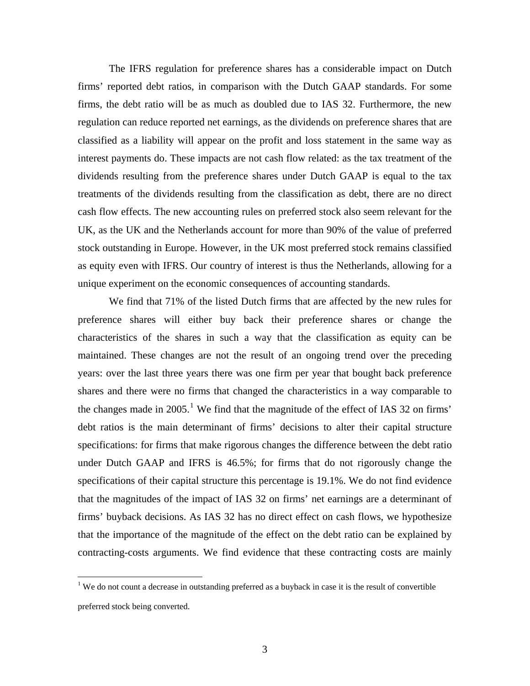The IFRS regulation for preference shares has a considerable impact on Dutch firms' reported debt ratios, in comparison with the Dutch GAAP standards. For some firms, the debt ratio will be as much as doubled due to IAS 32. Furthermore, the new regulation can reduce reported net earnings, as the dividends on preference shares that are classified as a liability will appear on the profit and loss statement in the same way as interest payments do. These impacts are not cash flow related: as the tax treatment of the dividends resulting from the preference shares under Dutch GAAP is equal to the tax treatments of the dividends resulting from the classification as debt, there are no direct cash flow effects. The new accounting rules on preferred stock also seem relevant for the UK, as the UK and the Netherlands account for more than 90% of the value of preferred stock outstanding in Europe. However, in the UK most preferred stock remains classified as equity even with IFRS. Our country of interest is thus the Netherlands, allowing for a unique experiment on the economic consequences of accounting standards.

We find that 71% of the listed Dutch firms that are affected by the new rules for preference shares will either buy back their preference shares or change the characteristics of the shares in such a way that the classification as equity can be maintained. These changes are not the result of an ongoing trend over the preceding years: over the last three years there was one firm per year that bought back preference shares and there were no firms that changed the characteristics in a way comparable to the changes made in 2005.<sup>[1](#page-5-0)</sup> We find that the magnitude of the effect of IAS 32 on firms' debt ratios is the main determinant of firms' decisions to alter their capital structure specifications: for firms that make rigorous changes the difference between the debt ratio under Dutch GAAP and IFRS is 46.5%; for firms that do not rigorously change the specifications of their capital structure this percentage is 19.1%. We do not find evidence that the magnitudes of the impact of IAS 32 on firms' net earnings are a determinant of firms' buyback decisions. As IAS 32 has no direct effect on cash flows, we hypothesize that the importance of the magnitude of the effect on the debt ratio can be explained by contracting-costs arguments. We find evidence that these contracting costs are mainly

 $\overline{a}$ 

<span id="page-5-0"></span> $1$  We do not count a decrease in outstanding preferred as a buyback in case it is the result of convertible preferred stock being converted.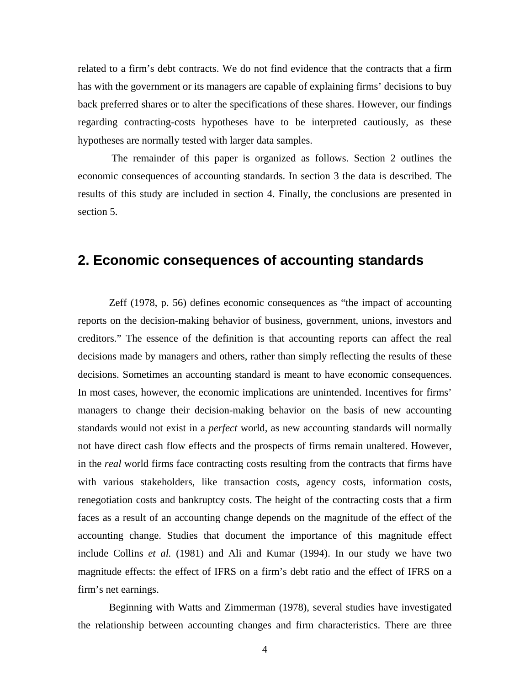related to a firm's debt contracts. We do not find evidence that the contracts that a firm has with the government or its managers are capable of explaining firms' decisions to buy back preferred shares or to alter the specifications of these shares. However, our findings regarding contracting-costs hypotheses have to be interpreted cautiously, as these hypotheses are normally tested with larger data samples.

 The remainder of this paper is organized as follows. Section 2 outlines the economic consequences of accounting standards. In section 3 the data is described. The results of this study are included in section 4. Finally, the conclusions are presented in section 5.

# **2. Economic consequences of accounting standards**

Zeff (1978, p. 56) defines economic consequences as "the impact of accounting reports on the decision-making behavior of business, government, unions, investors and creditors." The essence of the definition is that accounting reports can affect the real decisions made by managers and others, rather than simply reflecting the results of these decisions. Sometimes an accounting standard is meant to have economic consequences. In most cases, however, the economic implications are unintended. Incentives for firms' managers to change their decision-making behavior on the basis of new accounting standards would not exist in a *perfect* world, as new accounting standards will normally not have direct cash flow effects and the prospects of firms remain unaltered. However, in the *real* world firms face contracting costs resulting from the contracts that firms have with various stakeholders, like transaction costs, agency costs, information costs, renegotiation costs and bankruptcy costs. The height of the contracting costs that a firm faces as a result of an accounting change depends on the magnitude of the effect of the accounting change. Studies that document the importance of this magnitude effect include Collins *et al.* (1981) and Ali and Kumar (1994). In our study we have two magnitude effects: the effect of IFRS on a firm's debt ratio and the effect of IFRS on a firm's net earnings.

Beginning with Watts and Zimmerman (1978), several studies have investigated the relationship between accounting changes and firm characteristics. There are three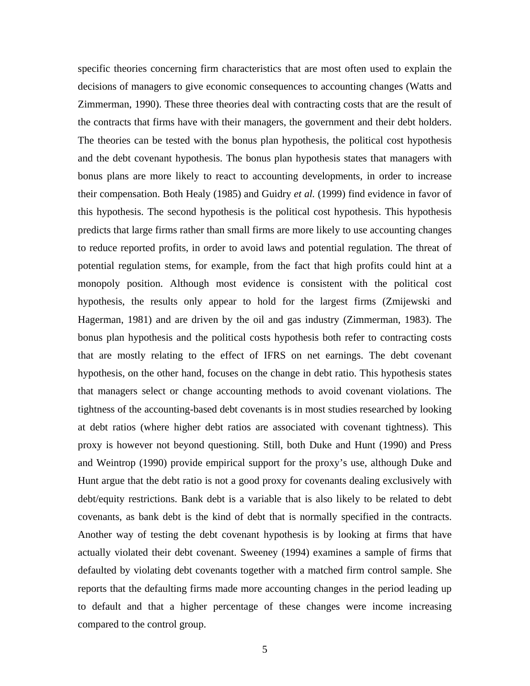specific theories concerning firm characteristics that are most often used to explain the decisions of managers to give economic consequences to accounting changes (Watts and Zimmerman, 1990). These three theories deal with contracting costs that are the result of the contracts that firms have with their managers, the government and their debt holders. The theories can be tested with the bonus plan hypothesis, the political cost hypothesis and the debt covenant hypothesis. The bonus plan hypothesis states that managers with bonus plans are more likely to react to accounting developments, in order to increase their compensation. Both Healy (1985) and Guidry *et al.* (1999) find evidence in favor of this hypothesis. The second hypothesis is the political cost hypothesis. This hypothesis predicts that large firms rather than small firms are more likely to use accounting changes to reduce reported profits, in order to avoid laws and potential regulation. The threat of potential regulation stems, for example, from the fact that high profits could hint at a monopoly position. Although most evidence is consistent with the political cost hypothesis, the results only appear to hold for the largest firms (Zmijewski and Hagerman, 1981) and are driven by the oil and gas industry (Zimmerman, 1983). The bonus plan hypothesis and the political costs hypothesis both refer to contracting costs that are mostly relating to the effect of IFRS on net earnings. The debt covenant hypothesis, on the other hand, focuses on the change in debt ratio. This hypothesis states that managers select or change accounting methods to avoid covenant violations. The tightness of the accounting-based debt covenants is in most studies researched by looking at debt ratios (where higher debt ratios are associated with covenant tightness). This proxy is however not beyond questioning. Still, both Duke and Hunt (1990) and Press and Weintrop (1990) provide empirical support for the proxy's use, although Duke and Hunt argue that the debt ratio is not a good proxy for covenants dealing exclusively with debt/equity restrictions. Bank debt is a variable that is also likely to be related to debt covenants, as bank debt is the kind of debt that is normally specified in the contracts. Another way of testing the debt covenant hypothesis is by looking at firms that have actually violated their debt covenant. Sweeney (1994) examines a sample of firms that defaulted by violating debt covenants together with a matched firm control sample. She reports that the defaulting firms made more accounting changes in the period leading up to default and that a higher percentage of these changes were income increasing compared to the control group.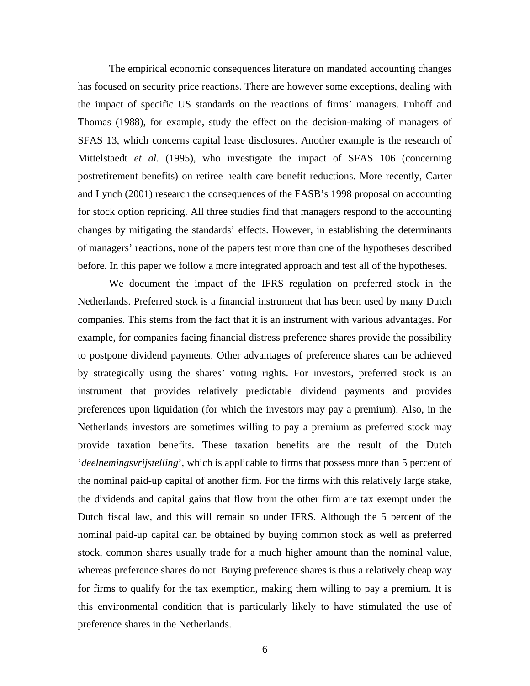The empirical economic consequences literature on mandated accounting changes has focused on security price reactions. There are however some exceptions, dealing with the impact of specific US standards on the reactions of firms' managers. Imhoff and Thomas (1988), for example, study the effect on the decision-making of managers of SFAS 13, which concerns capital lease disclosures. Another example is the research of Mittelstaedt *et al.* (1995), who investigate the impact of SFAS 106 (concerning postretirement benefits) on retiree health care benefit reductions. More recently, Carter and Lynch (2001) research the consequences of the FASB's 1998 proposal on accounting for stock option repricing. All three studies find that managers respond to the accounting changes by mitigating the standards' effects. However, in establishing the determinants of managers' reactions, none of the papers test more than one of the hypotheses described before. In this paper we follow a more integrated approach and test all of the hypotheses.

We document the impact of the IFRS regulation on preferred stock in the Netherlands. Preferred stock is a financial instrument that has been used by many Dutch companies. This stems from the fact that it is an instrument with various advantages. For example, for companies facing financial distress preference shares provide the possibility to postpone dividend payments. Other advantages of preference shares can be achieved by strategically using the shares' voting rights. For investors, preferred stock is an instrument that provides relatively predictable dividend payments and provides preferences upon liquidation (for which the investors may pay a premium). Also, in the Netherlands investors are sometimes willing to pay a premium as preferred stock may provide taxation benefits. These taxation benefits are the result of the Dutch '*deelnemingsvrijstelling*', which is applicable to firms that possess more than 5 percent of the nominal paid-up capital of another firm. For the firms with this relatively large stake, the dividends and capital gains that flow from the other firm are tax exempt under the Dutch fiscal law, and this will remain so under IFRS. Although the 5 percent of the nominal paid-up capital can be obtained by buying common stock as well as preferred stock, common shares usually trade for a much higher amount than the nominal value, whereas preference shares do not. Buying preference shares is thus a relatively cheap way for firms to qualify for the tax exemption, making them willing to pay a premium. It is this environmental condition that is particularly likely to have stimulated the use of preference shares in the Netherlands.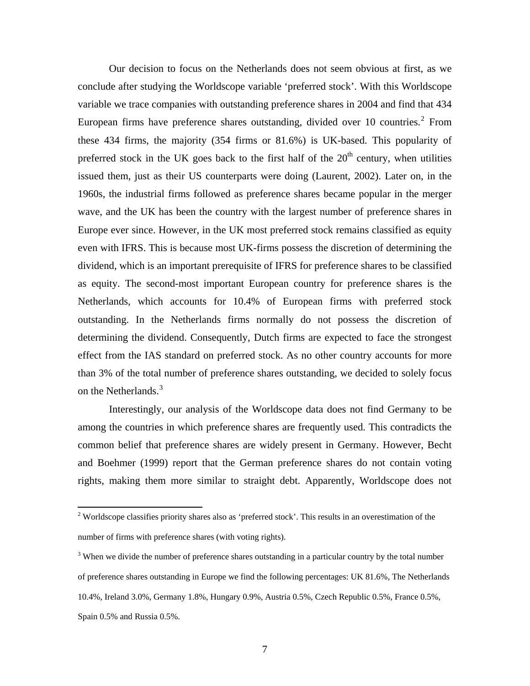Our decision to focus on the Netherlands does not seem obvious at first, as we conclude after studying the Worldscope variable 'preferred stock'. With this Worldscope variable we trace companies with outstanding preference shares in 2004 and find that 434 European firms have preference shares outstanding, divided over 10 countries.<sup>[2](#page-9-0)</sup> From these 434 firms, the majority (354 firms or 81.6%) is UK-based. This popularity of preferred stock in the UK goes back to the first half of the  $20<sup>th</sup>$  century, when utilities issued them, just as their US counterparts were doing (Laurent, 2002). Later on, in the 1960s, the industrial firms followed as preference shares became popular in the merger wave, and the UK has been the country with the largest number of preference shares in Europe ever since. However, in the UK most preferred stock remains classified as equity even with IFRS. This is because most UK-firms possess the discretion of determining the dividend, which is an important prerequisite of IFRS for preference shares to be classified as equity. The second-most important European country for preference shares is the Netherlands, which accounts for 10.4% of European firms with preferred stock outstanding. In the Netherlands firms normally do not possess the discretion of determining the dividend. Consequently, Dutch firms are expected to face the strongest effect from the IAS standard on preferred stock. As no other country accounts for more than 3% of the total number of preference shares outstanding, we decided to solely focus on the Netherlands.<sup>[3](#page-9-1)</sup>

Interestingly, our analysis of the Worldscope data does not find Germany to be among the countries in which preference shares are frequently used. This contradicts the common belief that preference shares are widely present in Germany. However, Becht and Boehmer (1999) report that the German preference shares do not contain voting rights, making them more similar to straight debt. Apparently, Worldscope does not

<span id="page-9-0"></span><sup>&</sup>lt;sup>2</sup> Worldscope classifies priority shares also as 'preferred stock'. This results in an overestimation of the number of firms with preference shares (with voting rights).

<span id="page-9-1"></span> $3$  When we divide the number of preference shares outstanding in a particular country by the total number of preference shares outstanding in Europe we find the following percentages: UK 81.6%, The Netherlands 10.4%, Ireland 3.0%, Germany 1.8%, Hungary 0.9%, Austria 0.5%, Czech Republic 0.5%, France 0.5%, Spain 0.5% and Russia 0.5%.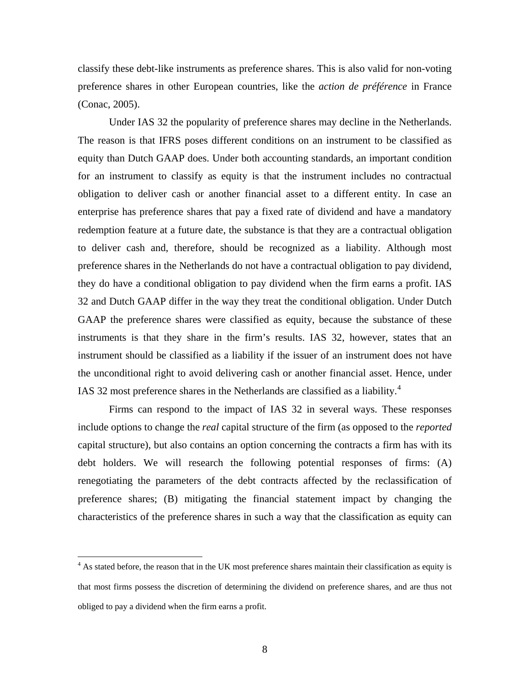classify these debt-like instruments as preference shares. This is also valid for non-voting preference shares in other European countries, like the *action de préférence* in France (Conac, 2005).

Under IAS 32 the popularity of preference shares may decline in the Netherlands. The reason is that IFRS poses different conditions on an instrument to be classified as equity than Dutch GAAP does. Under both accounting standards, an important condition for an instrument to classify as equity is that the instrument includes no contractual obligation to deliver cash or another financial asset to a different entity. In case an enterprise has preference shares that pay a fixed rate of dividend and have a mandatory redemption feature at a future date, the substance is that they are a contractual obligation to deliver cash and, therefore, should be recognized as a liability. Although most preference shares in the Netherlands do not have a contractual obligation to pay dividend, they do have a conditional obligation to pay dividend when the firm earns a profit. IAS 32 and Dutch GAAP differ in the way they treat the conditional obligation. Under Dutch GAAP the preference shares were classified as equity, because the substance of these instruments is that they share in the firm's results. IAS 32, however, states that an instrument should be classified as a liability if the issuer of an instrument does not have the unconditional right to avoid delivering cash or another financial asset. Hence, under IAS 32 most preference shares in the Netherlands are classified as a liability.<sup>[4](#page-10-0)</sup>

Firms can respond to the impact of IAS 32 in several ways. These responses include options to change the *real* capital structure of the firm (as opposed to the *reported* capital structure), but also contains an option concerning the contracts a firm has with its debt holders. We will research the following potential responses of firms: (A) renegotiating the parameters of the debt contracts affected by the reclassification of preference shares; (B) mitigating the financial statement impact by changing the characteristics of the preference shares in such a way that the classification as equity can

<span id="page-10-0"></span><sup>&</sup>lt;sup>4</sup> As stated before, the reason that in the UK most preference shares maintain their classification as equity is that most firms possess the discretion of determining the dividend on preference shares, and are thus not obliged to pay a dividend when the firm earns a profit.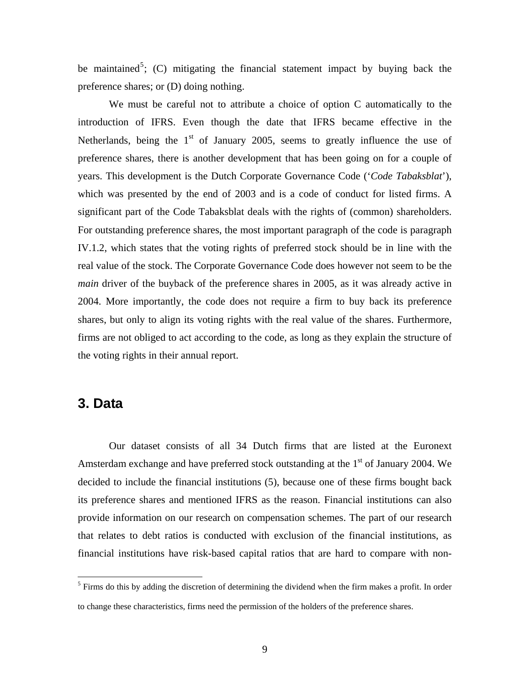be maintained<sup>[5](#page-11-0)</sup>; (C) mitigating the financial statement impact by buying back the preference shares; or (D) doing nothing.

We must be careful not to attribute a choice of option C automatically to the introduction of IFRS. Even though the date that IFRS became effective in the Netherlands, being the  $1<sup>st</sup>$  of January 2005, seems to greatly influence the use of preference shares, there is another development that has been going on for a couple of years. This development is the Dutch Corporate Governance Code ('*Code Tabaksblat*'), which was presented by the end of 2003 and is a code of conduct for listed firms. A significant part of the Code Tabaksblat deals with the rights of (common) shareholders. For outstanding preference shares, the most important paragraph of the code is paragraph IV.1.2, which states that the voting rights of preferred stock should be in line with the real value of the stock. The Corporate Governance Code does however not seem to be the *main* driver of the buyback of the preference shares in 2005, as it was already active in 2004. More importantly, the code does not require a firm to buy back its preference shares, but only to align its voting rights with the real value of the shares. Furthermore, firms are not obliged to act according to the code, as long as they explain the structure of the voting rights in their annual report.

### **3. Data**

Our dataset consists of all 34 Dutch firms that are listed at the Euronext Amsterdam exchange and have preferred stock outstanding at the  $1<sup>st</sup>$  of January 2004. We decided to include the financial institutions (5), because one of these firms bought back its preference shares and mentioned IFRS as the reason. Financial institutions can also provide information on our research on compensation schemes. The part of our research that relates to debt ratios is conducted with exclusion of the financial institutions, as financial institutions have risk-based capital ratios that are hard to compare with non-

<span id="page-11-0"></span><sup>&</sup>lt;sup>5</sup> Firms do this by adding the discretion of determining the dividend when the firm makes a profit. In order to change these characteristics, firms need the permission of the holders of the preference shares.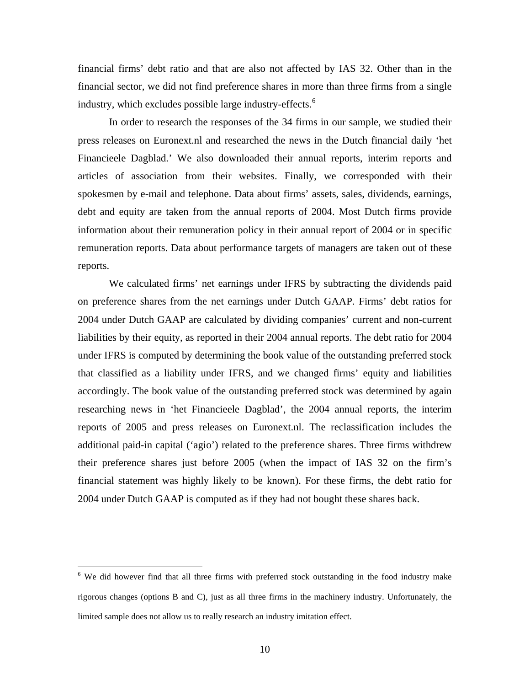financial firms' debt ratio and that are also not affected by IAS 32. Other than in the financial sector, we did not find preference shares in more than three firms from a single industry, which excludes possible large industry-effects.<sup>[6](#page-12-0)</sup>

In order to research the responses of the 34 firms in our sample, we studied their press releases on Euronext.nl and researched the news in the Dutch financial daily 'het Financieele Dagblad.' We also downloaded their annual reports, interim reports and articles of association from their websites. Finally, we corresponded with their spokesmen by e-mail and telephone. Data about firms' assets, sales, dividends, earnings, debt and equity are taken from the annual reports of 2004. Most Dutch firms provide information about their remuneration policy in their annual report of 2004 or in specific remuneration reports. Data about performance targets of managers are taken out of these reports.

We calculated firms' net earnings under IFRS by subtracting the dividends paid on preference shares from the net earnings under Dutch GAAP. Firms' debt ratios for 2004 under Dutch GAAP are calculated by dividing companies' current and non-current liabilities by their equity, as reported in their 2004 annual reports. The debt ratio for 2004 under IFRS is computed by determining the book value of the outstanding preferred stock that classified as a liability under IFRS, and we changed firms' equity and liabilities accordingly. The book value of the outstanding preferred stock was determined by again researching news in 'het Financieele Dagblad', the 2004 annual reports, the interim reports of 2005 and press releases on Euronext.nl. The reclassification includes the additional paid-in capital ('agio') related to the preference shares. Three firms withdrew their preference shares just before 2005 (when the impact of IAS 32 on the firm's financial statement was highly likely to be known). For these firms, the debt ratio for 2004 under Dutch GAAP is computed as if they had not bought these shares back.

<span id="page-12-0"></span> 6 We did however find that all three firms with preferred stock outstanding in the food industry make rigorous changes (options B and C), just as all three firms in the machinery industry. Unfortunately, the limited sample does not allow us to really research an industry imitation effect.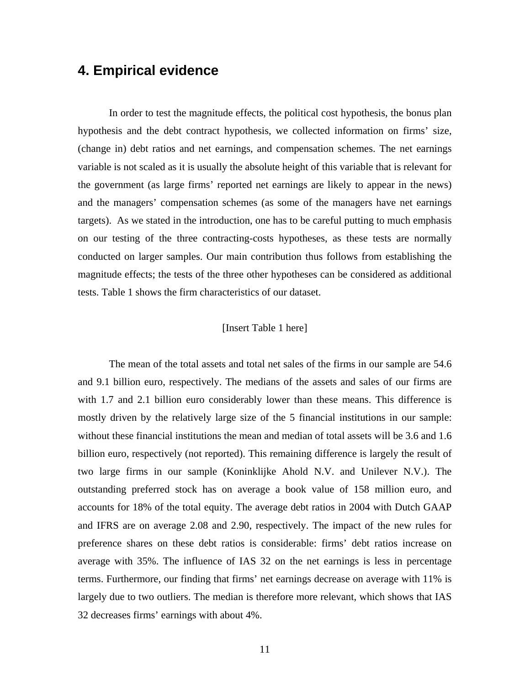# **4. Empirical evidence**

In order to test the magnitude effects, the political cost hypothesis, the bonus plan hypothesis and the debt contract hypothesis, we collected information on firms' size, (change in) debt ratios and net earnings, and compensation schemes. The net earnings variable is not scaled as it is usually the absolute height of this variable that is relevant for the government (as large firms' reported net earnings are likely to appear in the news) and the managers' compensation schemes (as some of the managers have net earnings targets). As we stated in the introduction, one has to be careful putting to much emphasis on our testing of the three contracting-costs hypotheses, as these tests are normally conducted on larger samples. Our main contribution thus follows from establishing the magnitude effects; the tests of the three other hypotheses can be considered as additional tests. Table 1 shows the firm characteristics of our dataset.

#### [Insert Table 1 here]

The mean of the total assets and total net sales of the firms in our sample are 54.6 and 9.1 billion euro, respectively. The medians of the assets and sales of our firms are with 1.7 and 2.1 billion euro considerably lower than these means. This difference is mostly driven by the relatively large size of the 5 financial institutions in our sample: without these financial institutions the mean and median of total assets will be 3.6 and 1.6 billion euro, respectively (not reported). This remaining difference is largely the result of two large firms in our sample (Koninklijke Ahold N.V. and Unilever N.V.). The outstanding preferred stock has on average a book value of 158 million euro, and accounts for 18% of the total equity. The average debt ratios in 2004 with Dutch GAAP and IFRS are on average 2.08 and 2.90, respectively. The impact of the new rules for preference shares on these debt ratios is considerable: firms' debt ratios increase on average with 35%. The influence of IAS 32 on the net earnings is less in percentage terms. Furthermore, our finding that firms' net earnings decrease on average with 11% is largely due to two outliers. The median is therefore more relevant, which shows that IAS 32 decreases firms' earnings with about 4%.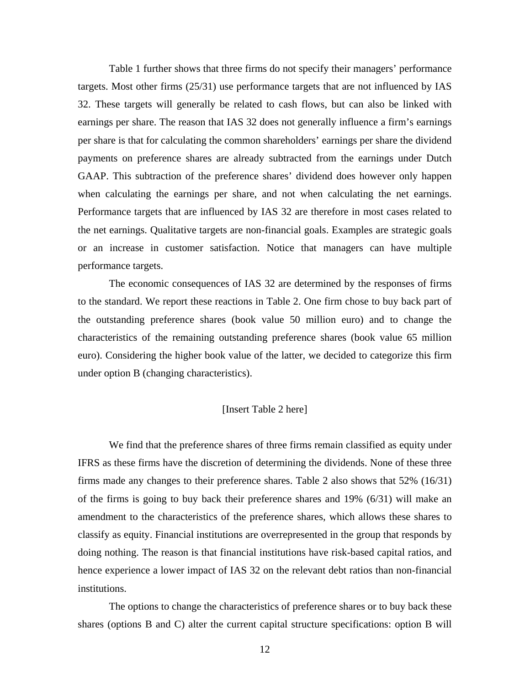Table 1 further shows that three firms do not specify their managers' performance targets. Most other firms (25/31) use performance targets that are not influenced by IAS 32. These targets will generally be related to cash flows, but can also be linked with earnings per share. The reason that IAS 32 does not generally influence a firm's earnings per share is that for calculating the common shareholders' earnings per share the dividend payments on preference shares are already subtracted from the earnings under Dutch GAAP. This subtraction of the preference shares' dividend does however only happen when calculating the earnings per share, and not when calculating the net earnings. Performance targets that are influenced by IAS 32 are therefore in most cases related to the net earnings. Qualitative targets are non-financial goals. Examples are strategic goals or an increase in customer satisfaction. Notice that managers can have multiple performance targets.

The economic consequences of IAS 32 are determined by the responses of firms to the standard. We report these reactions in Table 2. One firm chose to buy back part of the outstanding preference shares (book value 50 million euro) and to change the characteristics of the remaining outstanding preference shares (book value 65 million euro). Considering the higher book value of the latter, we decided to categorize this firm under option B (changing characteristics).

#### [Insert Table 2 here]

We find that the preference shares of three firms remain classified as equity under IFRS as these firms have the discretion of determining the dividends. None of these three firms made any changes to their preference shares. Table 2 also shows that 52% (16/31) of the firms is going to buy back their preference shares and 19% (6/31) will make an amendment to the characteristics of the preference shares, which allows these shares to classify as equity. Financial institutions are overrepresented in the group that responds by doing nothing. The reason is that financial institutions have risk-based capital ratios, and hence experience a lower impact of IAS 32 on the relevant debt ratios than non-financial institutions.

The options to change the characteristics of preference shares or to buy back these shares (options B and C) alter the current capital structure specifications: option B will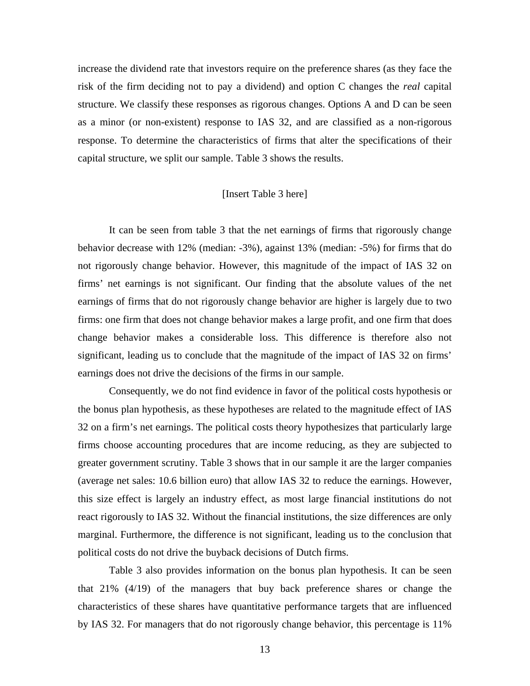increase the dividend rate that investors require on the preference shares (as they face the risk of the firm deciding not to pay a dividend) and option C changes the *real* capital structure. We classify these responses as rigorous changes. Options A and D can be seen as a minor (or non-existent) response to IAS 32, and are classified as a non-rigorous response. To determine the characteristics of firms that alter the specifications of their capital structure, we split our sample. Table 3 shows the results.

#### [Insert Table 3 here]

It can be seen from table 3 that the net earnings of firms that rigorously change behavior decrease with 12% (median: -3%), against 13% (median: -5%) for firms that do not rigorously change behavior. However, this magnitude of the impact of IAS 32 on firms' net earnings is not significant. Our finding that the absolute values of the net earnings of firms that do not rigorously change behavior are higher is largely due to two firms: one firm that does not change behavior makes a large profit, and one firm that does change behavior makes a considerable loss. This difference is therefore also not significant, leading us to conclude that the magnitude of the impact of IAS 32 on firms' earnings does not drive the decisions of the firms in our sample.

Consequently, we do not find evidence in favor of the political costs hypothesis or the bonus plan hypothesis, as these hypotheses are related to the magnitude effect of IAS 32 on a firm's net earnings. The political costs theory hypothesizes that particularly large firms choose accounting procedures that are income reducing, as they are subjected to greater government scrutiny. Table 3 shows that in our sample it are the larger companies (average net sales: 10.6 billion euro) that allow IAS 32 to reduce the earnings. However, this size effect is largely an industry effect, as most large financial institutions do not react rigorously to IAS 32. Without the financial institutions, the size differences are only marginal. Furthermore, the difference is not significant, leading us to the conclusion that political costs do not drive the buyback decisions of Dutch firms.

Table 3 also provides information on the bonus plan hypothesis. It can be seen that 21% (4/19) of the managers that buy back preference shares or change the characteristics of these shares have quantitative performance targets that are influenced by IAS 32. For managers that do not rigorously change behavior, this percentage is 11%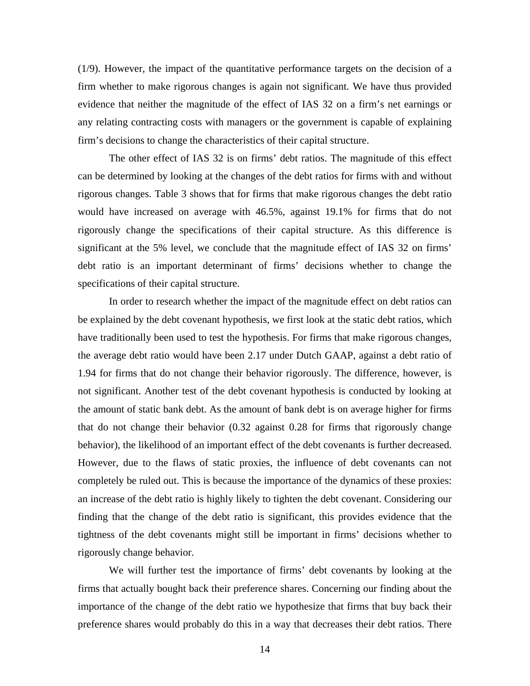(1/9). However, the impact of the quantitative performance targets on the decision of a firm whether to make rigorous changes is again not significant. We have thus provided evidence that neither the magnitude of the effect of IAS 32 on a firm's net earnings or any relating contracting costs with managers or the government is capable of explaining firm's decisions to change the characteristics of their capital structure.

The other effect of IAS 32 is on firms' debt ratios. The magnitude of this effect can be determined by looking at the changes of the debt ratios for firms with and without rigorous changes. Table 3 shows that for firms that make rigorous changes the debt ratio would have increased on average with 46.5%, against 19.1% for firms that do not rigorously change the specifications of their capital structure. As this difference is significant at the 5% level, we conclude that the magnitude effect of IAS 32 on firms' debt ratio is an important determinant of firms' decisions whether to change the specifications of their capital structure.

In order to research whether the impact of the magnitude effect on debt ratios can be explained by the debt covenant hypothesis, we first look at the static debt ratios, which have traditionally been used to test the hypothesis. For firms that make rigorous changes, the average debt ratio would have been 2.17 under Dutch GAAP, against a debt ratio of 1.94 for firms that do not change their behavior rigorously. The difference, however, is not significant. Another test of the debt covenant hypothesis is conducted by looking at the amount of static bank debt. As the amount of bank debt is on average higher for firms that do not change their behavior (0.32 against 0.28 for firms that rigorously change behavior), the likelihood of an important effect of the debt covenants is further decreased. However, due to the flaws of static proxies, the influence of debt covenants can not completely be ruled out. This is because the importance of the dynamics of these proxies: an increase of the debt ratio is highly likely to tighten the debt covenant. Considering our finding that the change of the debt ratio is significant, this provides evidence that the tightness of the debt covenants might still be important in firms' decisions whether to rigorously change behavior.

We will further test the importance of firms' debt covenants by looking at the firms that actually bought back their preference shares. Concerning our finding about the importance of the change of the debt ratio we hypothesize that firms that buy back their preference shares would probably do this in a way that decreases their debt ratios. There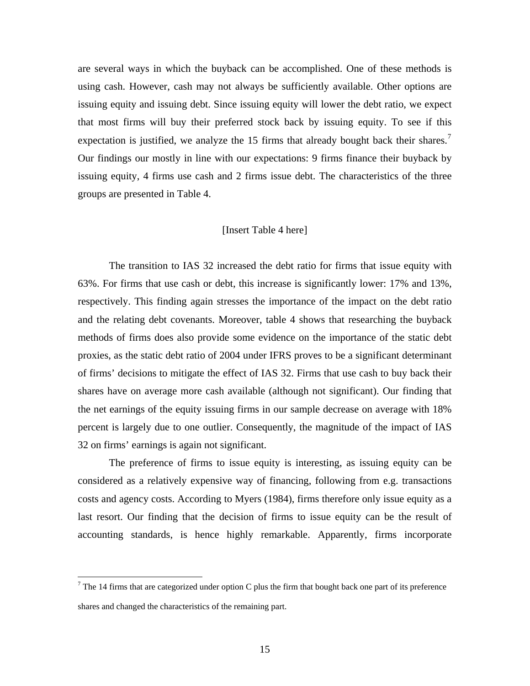are several ways in which the buyback can be accomplished. One of these methods is using cash. However, cash may not always be sufficiently available. Other options are issuing equity and issuing debt. Since issuing equity will lower the debt ratio, we expect that most firms will buy their preferred stock back by issuing equity. To see if this expectation is justified, we analyze the 15 firms that already bought back their shares.<sup>[7](#page-17-0)</sup> Our findings our mostly in line with our expectations: 9 firms finance their buyback by issuing equity, 4 firms use cash and 2 firms issue debt. The characteristics of the three groups are presented in Table 4.

#### [Insert Table 4 here]

The transition to IAS 32 increased the debt ratio for firms that issue equity with 63%. For firms that use cash or debt, this increase is significantly lower: 17% and 13%, respectively. This finding again stresses the importance of the impact on the debt ratio and the relating debt covenants. Moreover, table 4 shows that researching the buyback methods of firms does also provide some evidence on the importance of the static debt proxies, as the static debt ratio of 2004 under IFRS proves to be a significant determinant of firms' decisions to mitigate the effect of IAS 32. Firms that use cash to buy back their shares have on average more cash available (although not significant). Our finding that the net earnings of the equity issuing firms in our sample decrease on average with 18% percent is largely due to one outlier. Consequently, the magnitude of the impact of IAS 32 on firms' earnings is again not significant.

The preference of firms to issue equity is interesting, as issuing equity can be considered as a relatively expensive way of financing, following from e.g. transactions costs and agency costs. According to Myers (1984), firms therefore only issue equity as a last resort. Our finding that the decision of firms to issue equity can be the result of accounting standards, is hence highly remarkable. Apparently, firms incorporate

1

<span id="page-17-0"></span><sup>&</sup>lt;sup>7</sup> The 14 firms that are categorized under option C plus the firm that bought back one part of its preference shares and changed the characteristics of the remaining part.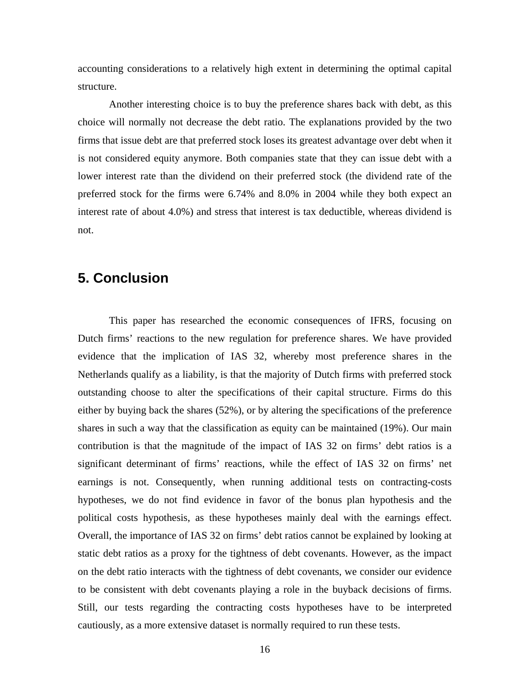accounting considerations to a relatively high extent in determining the optimal capital structure.

Another interesting choice is to buy the preference shares back with debt, as this choice will normally not decrease the debt ratio. The explanations provided by the two firms that issue debt are that preferred stock loses its greatest advantage over debt when it is not considered equity anymore. Both companies state that they can issue debt with a lower interest rate than the dividend on their preferred stock (the dividend rate of the preferred stock for the firms were 6.74% and 8.0% in 2004 while they both expect an interest rate of about 4.0%) and stress that interest is tax deductible, whereas dividend is not.

# **5. Conclusion**

This paper has researched the economic consequences of IFRS, focusing on Dutch firms' reactions to the new regulation for preference shares. We have provided evidence that the implication of IAS 32, whereby most preference shares in the Netherlands qualify as a liability, is that the majority of Dutch firms with preferred stock outstanding choose to alter the specifications of their capital structure. Firms do this either by buying back the shares (52%), or by altering the specifications of the preference shares in such a way that the classification as equity can be maintained (19%). Our main contribution is that the magnitude of the impact of IAS 32 on firms' debt ratios is a significant determinant of firms' reactions, while the effect of IAS 32 on firms' net earnings is not. Consequently, when running additional tests on contracting-costs hypotheses, we do not find evidence in favor of the bonus plan hypothesis and the political costs hypothesis, as these hypotheses mainly deal with the earnings effect. Overall, the importance of IAS 32 on firms' debt ratios cannot be explained by looking at static debt ratios as a proxy for the tightness of debt covenants. However, as the impact on the debt ratio interacts with the tightness of debt covenants, we consider our evidence to be consistent with debt covenants playing a role in the buyback decisions of firms. Still, our tests regarding the contracting costs hypotheses have to be interpreted cautiously, as a more extensive dataset is normally required to run these tests.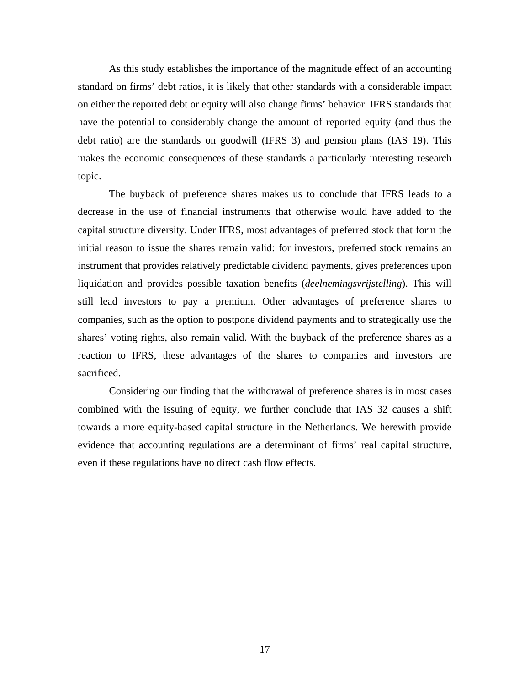As this study establishes the importance of the magnitude effect of an accounting standard on firms' debt ratios, it is likely that other standards with a considerable impact on either the reported debt or equity will also change firms' behavior. IFRS standards that have the potential to considerably change the amount of reported equity (and thus the debt ratio) are the standards on goodwill (IFRS 3) and pension plans (IAS 19). This makes the economic consequences of these standards a particularly interesting research topic.

The buyback of preference shares makes us to conclude that IFRS leads to a decrease in the use of financial instruments that otherwise would have added to the capital structure diversity. Under IFRS, most advantages of preferred stock that form the initial reason to issue the shares remain valid: for investors, preferred stock remains an instrument that provides relatively predictable dividend payments, gives preferences upon liquidation and provides possible taxation benefits (*deelnemingsvrijstelling*). This will still lead investors to pay a premium. Other advantages of preference shares to companies, such as the option to postpone dividend payments and to strategically use the shares' voting rights, also remain valid. With the buyback of the preference shares as a reaction to IFRS, these advantages of the shares to companies and investors are sacrificed.

Considering our finding that the withdrawal of preference shares is in most cases combined with the issuing of equity, we further conclude that IAS 32 causes a shift towards a more equity-based capital structure in the Netherlands. We herewith provide evidence that accounting regulations are a determinant of firms' real capital structure, even if these regulations have no direct cash flow effects.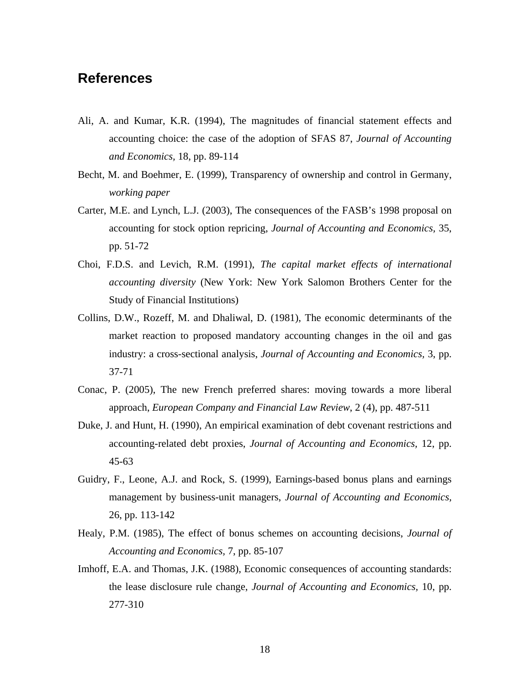# **References**

- Ali, A. and Kumar, K.R. (1994), The magnitudes of financial statement effects and accounting choice: the case of the adoption of SFAS 87, *Journal of Accounting and Economics,* 18, pp. 89-114
- Becht, M. and Boehmer, E. (1999), Transparency of ownership and control in Germany, *working paper*
- Carter, M.E. and Lynch, L.J. (2003), The consequences of the FASB's 1998 proposal on accounting for stock option repricing, *Journal of Accounting and Economics,* 35, pp. 51-72
- Choi, F.D.S. and Levich, R.M. (1991), *The capital market effects of international accounting diversity* (New York: New York Salomon Brothers Center for the Study of Financial Institutions)
- Collins, D.W., Rozeff, M. and Dhaliwal, D. (1981), The economic determinants of the market reaction to proposed mandatory accounting changes in the oil and gas industry: a cross-sectional analysis, *Journal of Accounting and Economics,* 3, pp. 37-71
- Conac, P. (2005), The new French preferred shares: moving towards a more liberal approach, *European Company and Financial Law Review*, 2 (4), pp. 487-511
- Duke, J. and Hunt, H. (1990), An empirical examination of debt covenant restrictions and accounting-related debt proxies, *Journal of Accounting and Economics,* 12, pp. 45-63
- Guidry, F., Leone, A.J. and Rock, S. (1999), Earnings-based bonus plans and earnings management by business-unit managers, *Journal of Accounting and Economics,* 26, pp. 113-142
- Healy, P.M. (1985), The effect of bonus schemes on accounting decisions, *Journal of Accounting and Economics,* 7, pp. 85-107
- Imhoff, E.A. and Thomas, J.K. (1988), Economic consequences of accounting standards: the lease disclosure rule change, *Journal of Accounting and Economics,* 10, pp. 277-310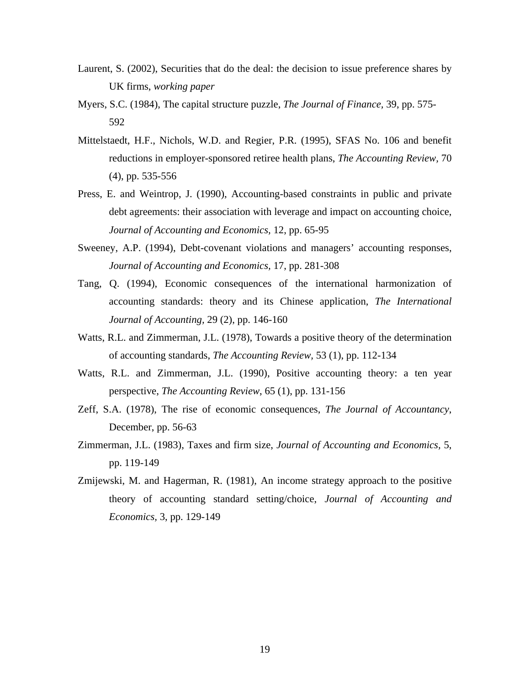- Laurent, S. (2002), Securities that do the deal: the decision to issue preference shares by UK firms, *working paper*
- Myers, S.C. (1984), The capital structure puzzle, *The Journal of Finance,* 39, pp. 575- 592
- Mittelstaedt, H.F., Nichols, W.D. and Regier, P.R. (1995), SFAS No. 106 and benefit reductions in employer-sponsored retiree health plans, *The Accounting Review,* 70 (4), pp. 535-556
- Press, E. and Weintrop, J. (1990), Accounting-based constraints in public and private debt agreements: their association with leverage and impact on accounting choice, *Journal of Accounting and Economics,* 12, pp. 65-95
- Sweeney, A.P. (1994), Debt-covenant violations and managers' accounting responses, *Journal of Accounting and Economics,* 17, pp. 281-308
- Tang, Q. (1994), Economic consequences of the international harmonization of accounting standards: theory and its Chinese application, *The International Journal of Accounting,* 29 (2), pp. 146-160
- Watts, R.L. and Zimmerman, J.L. (1978), Towards a positive theory of the determination of accounting standards, *The Accounting Review,* 53 (1), pp. 112-134
- Watts, R.L. and Zimmerman, J.L. (1990), Positive accounting theory: a ten year perspective, *The Accounting Review*, 65 (1), pp. 131-156
- Zeff, S.A. (1978), The rise of economic consequences, *The Journal of Accountancy*, December, pp. 56-63
- Zimmerman, J.L. (1983), Taxes and firm size, *Journal of Accounting and Economics,* 5, pp. 119-149
- Zmijewski, M. and Hagerman, R. (1981), An income strategy approach to the positive theory of accounting standard setting/choice, *Journal of Accounting and Economics,* 3, pp. 129-149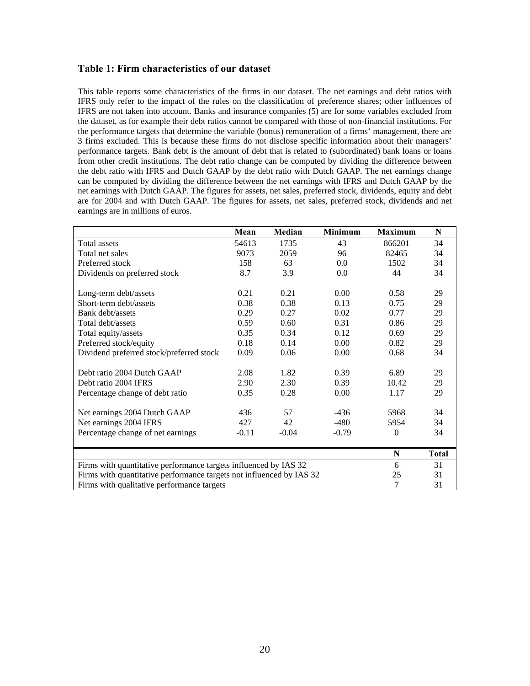#### **Table 1: Firm characteristics of our dataset**

This table reports some characteristics of the firms in our dataset. The net earnings and debt ratios with IFRS only refer to the impact of the rules on the classification of preference shares; other influences of IFRS are not taken into account. Banks and insurance companies (5) are for some variables excluded from the dataset, as for example their debt ratios cannot be compared with those of non-financial institutions. For the performance targets that determine the variable (bonus) remuneration of a firms' management, there are 3 firms excluded. This is because these firms do not disclose specific information about their managers' performance targets. Bank debt is the amount of debt that is related to (subordinated) bank loans or loans from other credit institutions. The debt ratio change can be computed by dividing the difference between the debt ratio with IFRS and Dutch GAAP by the debt ratio with Dutch GAAP. The net earnings change can be computed by dividing the difference between the net earnings with IFRS and Dutch GAAP by the net earnings with Dutch GAAP. The figures for assets, net sales, preferred stock, dividends, equity and debt are for 2004 and with Dutch GAAP. The figures for assets, net sales, preferred stock, dividends and net earnings are in millions of euros.

|                                                                      | Mean    | Median  | <b>Minimum</b> | <b>Maximum</b> | N            |
|----------------------------------------------------------------------|---------|---------|----------------|----------------|--------------|
| <b>Total assets</b>                                                  | 54613   | 1735    | 43             | 866201         | 34           |
| Total net sales                                                      | 9073    | 2059    | 96             | 82465          | 34           |
| Preferred stock                                                      | 158     | 63      | 0.0            | 1502           | 34           |
| Dividends on preferred stock                                         | 8.7     | 3.9     | 0.0            | 44             | 34           |
|                                                                      |         |         |                |                |              |
| Long-term debt/assets                                                | 0.21    | 0.21    | 0.00           | 0.58           | 29           |
| Short-term debt/assets                                               | 0.38    | 0.38    | 0.13           | 0.75           | 29           |
| Bank debt/assets                                                     | 0.29    | 0.27    | 0.02           | 0.77           | 29           |
| Total debt/assets                                                    | 0.59    | 0.60    | 0.31           | 0.86           | 29           |
| Total equity/assets                                                  | 0.35    | 0.34    | 0.12           | 0.69           | 29           |
| Preferred stock/equity                                               | 0.18    | 0.14    | 0.00           | 0.82           | 29           |
| Dividend preferred stock/preferred stock                             | 0.09    | 0.06    | 0.00           | 0.68           | 34           |
| Debt ratio 2004 Dutch GAAP                                           | 2.08    | 1.82    | 0.39           | 6.89           | 29           |
| Debt ratio 2004 IFRS                                                 | 2.90    | 2.30    | 0.39           | 10.42          | 29           |
| Percentage change of debt ratio                                      | 0.35    | 0.28    | 0.00           | 1.17           | 29           |
|                                                                      |         |         |                |                |              |
| Net earnings 2004 Dutch GAAP                                         | 436     | 57      | $-436$         | 5968           | 34           |
| Net earnings 2004 IFRS                                               | 427     | 42      | $-480$         | 5954           | 34           |
| Percentage change of net earnings                                    | $-0.11$ | $-0.04$ | $-0.79$        | $\Omega$       | 34           |
|                                                                      |         |         |                | N              | <b>Total</b> |
|                                                                      | 6       | 31      |                |                |              |
| Firms with quantitative performance targets influenced by IAS 32     |         |         |                |                |              |
| Firms with quantitative performance targets not influenced by IAS 32 |         |         |                |                | 31           |
| Firms with qualitative performance targets                           | 7       | 31      |                |                |              |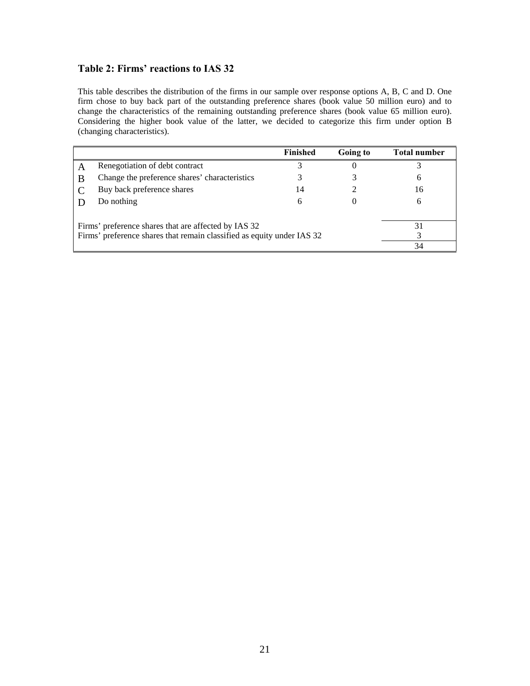### **Table 2: Firms' reactions to IAS 32**

This table describes the distribution of the firms in our sample over response options A, B, C and D. One firm chose to buy back part of the outstanding preference shares (book value 50 million euro) and to change the characteristics of the remaining outstanding preference shares (book value 65 million euro). Considering the higher book value of the latter, we decided to categorize this firm under option B (changing characteristics).

|                                                                        |                                               | <b>Finished</b> | Going to | <b>Total number</b> |
|------------------------------------------------------------------------|-----------------------------------------------|-----------------|----------|---------------------|
|                                                                        | Renegotiation of debt contract                |                 |          |                     |
|                                                                        | Change the preference shares' characteristics |                 |          |                     |
|                                                                        | Buy back preference shares                    | 14              |          | 16                  |
|                                                                        | Do nothing                                    | h               |          |                     |
|                                                                        |                                               |                 |          |                     |
| Firms' preference shares that are affected by IAS 32                   |                                               |                 |          |                     |
| Firms' preference shares that remain classified as equity under IAS 32 |                                               |                 |          |                     |
|                                                                        |                                               |                 |          | 34                  |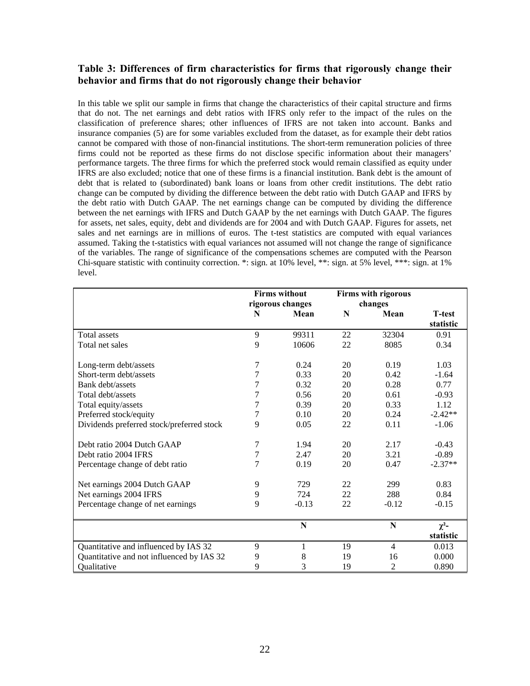#### **Table 3: Differences of firm characteristics for firms that rigorously change their behavior and firms that do not rigorously change their behavior**

In this table we split our sample in firms that change the characteristics of their capital structure and firms that do not. The net earnings and debt ratios with IFRS only refer to the impact of the rules on the classification of preference shares; other influences of IFRS are not taken into account. Banks and insurance companies (5) are for some variables excluded from the dataset, as for example their debt ratios cannot be compared with those of non-financial institutions. The short-term remuneration policies of three firms could not be reported as these firms do not disclose specific information about their managers' performance targets. The three firms for which the preferred stock would remain classified as equity under IFRS are also excluded; notice that one of these firms is a financial institution. Bank debt is the amount of debt that is related to (subordinated) bank loans or loans from other credit institutions. The debt ratio change can be computed by dividing the difference between the debt ratio with Dutch GAAP and IFRS by the debt ratio with Dutch GAAP. The net earnings change can be computed by dividing the difference between the net earnings with IFRS and Dutch GAAP by the net earnings with Dutch GAAP. The figures for assets, net sales, equity, debt and dividends are for 2004 and with Dutch GAAP. Figures for assets, net sales and net earnings are in millions of euros. The t-test statistics are computed with equal variances assumed. Taking the t-statistics with equal variances not assumed will not change the range of significance of the variables. The range of significance of the compensations schemes are computed with the Pearson Chi-square statistic with continuity correction. \*: sign. at 10% level, \*\*: sign. at 5% level, \*\*\*: sign. at 1% level.

|                                           | <b>Firms without</b><br>rigorous changes |         | <b>Firms with rigorous</b><br>changes |                |                |
|-------------------------------------------|------------------------------------------|---------|---------------------------------------|----------------|----------------|
|                                           | N                                        | Mean    | N                                     | Mean           | <b>T</b> -test |
|                                           |                                          |         |                                       |                | statistic      |
| <b>Total assets</b>                       | 9                                        | 99311   | 22                                    | 32304          | 0.91           |
| Total net sales                           | 9                                        | 10606   | 22                                    | 8085           | 0.34           |
| Long-term debt/assets                     | 7                                        | 0.24    | 20                                    | 0.19           | 1.03           |
| Short-term debt/assets                    | 7                                        | 0.33    | 20                                    | 0.42           | $-1.64$        |
| Bank debt/assets                          | 7                                        | 0.32    | 20                                    | 0.28           | 0.77           |
| Total debt/assets                         | $\overline{7}$                           | 0.56    | 20                                    | 0.61           | $-0.93$        |
| Total equity/assets                       | 7                                        | 0.39    | 20                                    | 0.33           | 1.12           |
| Preferred stock/equity                    | 7                                        | 0.10    | 20                                    | 0.24           | $-2.42**$      |
| Dividends preferred stock/preferred stock | 9                                        | 0.05    | 22                                    | 0.11           | $-1.06$        |
| Debt ratio 2004 Dutch GAAP                | 7                                        | 1.94    | 20                                    | 2.17           | $-0.43$        |
| Debt ratio 2004 IFRS                      | 7                                        | 2.47    | 20                                    | 3.21           | $-0.89$        |
| Percentage change of debt ratio           | 7                                        | 0.19    | 20                                    | 0.47           | $-2.37**$      |
| Net earnings 2004 Dutch GAAP              | 9                                        | 729     | 22                                    | 299            | 0.83           |
| Net earnings 2004 IFRS                    | 9                                        | 724     | 22                                    | 288            | 0.84           |
| Percentage change of net earnings         | 9                                        | $-0.13$ | 22                                    | $-0.12$        | $-0.15$        |
|                                           |                                          | N       |                                       | N              | $\chi^2$ -     |
|                                           |                                          |         |                                       |                | statistic      |
| Quantitative and influenced by IAS 32     | 9                                        | 1       | 19                                    | $\overline{4}$ | 0.013          |
| Quantitative and not influenced by IAS 32 | 9                                        | 8       | 19                                    | 16             | 0.000          |
| Qualitative                               | 9                                        | 3       | 19                                    | 2              | 0.890          |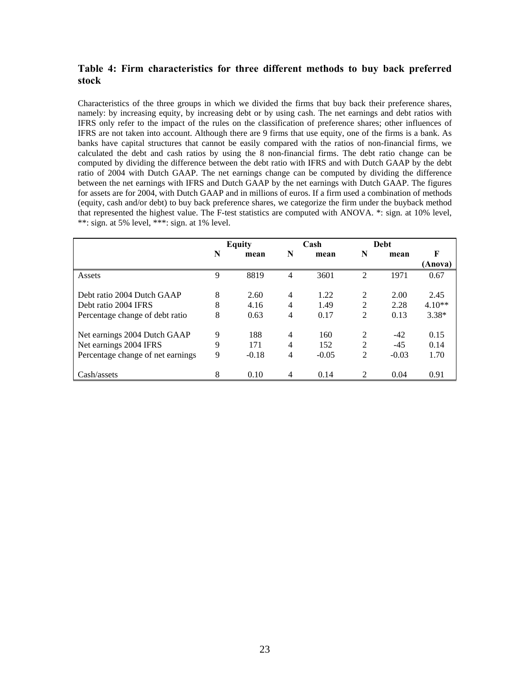#### **Table 4: Firm characteristics for three different methods to buy back preferred stock**

Characteristics of the three groups in which we divided the firms that buy back their preference shares, namely: by increasing equity, by increasing debt or by using cash. The net earnings and debt ratios with IFRS only refer to the impact of the rules on the classification of preference shares; other influences of IFRS are not taken into account. Although there are 9 firms that use equity, one of the firms is a bank. As banks have capital structures that cannot be easily compared with the ratios of non-financial firms, we calculated the debt and cash ratios by using the 8 non-financial firms. The debt ratio change can be computed by dividing the difference between the debt ratio with IFRS and with Dutch GAAP by the debt ratio of 2004 with Dutch GAAP. The net earnings change can be computed by dividing the difference between the net earnings with IFRS and Dutch GAAP by the net earnings with Dutch GAAP. The figures for assets are for 2004, with Dutch GAAP and in millions of euros. If a firm used a combination of methods (equity, cash and/or debt) to buy back preference shares, we categorize the firm under the buyback method that represented the highest value. The F-test statistics are computed with ANOVA. \*: sign. at 10% level, \*\*: sign. at 5% level, \*\*\*: sign. at 1% level.

|                                   | <b>Equity</b> |         | Cash |         | Debt |         |          |
|-----------------------------------|---------------|---------|------|---------|------|---------|----------|
|                                   | N             | mean    | N    | mean    | N    | mean    | F        |
|                                   |               |         |      |         |      |         | (Anova)  |
| Assets                            | 9             | 8819    | 4    | 3601    | 2    | 1971    | 0.67     |
|                                   |               |         |      |         |      |         |          |
| Debt ratio 2004 Dutch GAAP        | 8             | 2.60    | 4    | 1.22    | 2    | 2.00    | 2.45     |
| Debt ratio 2004 IFRS              | 8             | 4.16    | 4    | 1.49    | 2    | 2.28    | $4.10**$ |
| Percentage change of debt ratio   | 8             | 0.63    | 4    | 0.17    | 2    | 0.13    | $3.38*$  |
| Net earnings 2004 Dutch GAAP      | 9             | 188     | 4    | 160     | 2    | $-42$   | 0.15     |
| Net earnings 2004 IFRS            | 9             | 171     | 4    | 152     | 2    | $-45$   | 0.14     |
| Percentage change of net earnings | 9             | $-0.18$ | 4    | $-0.05$ | 2    | $-0.03$ | 1.70     |
|                                   |               |         |      |         |      |         |          |
| Cash/assets                       | 8             | 0.10    | 4    | 0.14    | 2    | 0.04    | 0.91     |